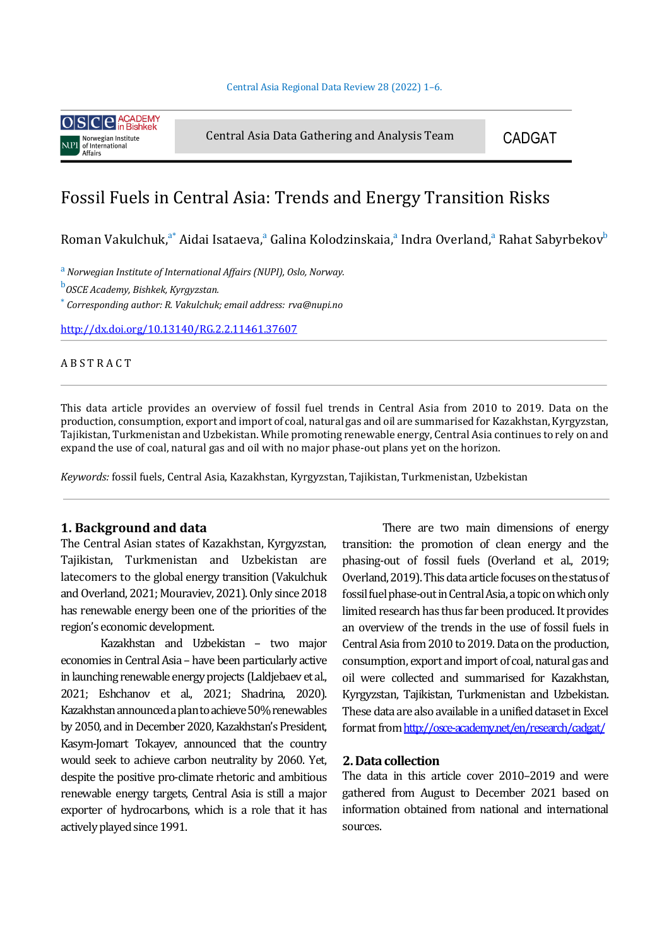

Central Asia Data Gathering and Analysis Team CADGAT

# Fossil Fuels in Central Asia: Trends and Energy Transition Risks

Roman Vakulchuk, $^{\mathrm{a*}}$  Aidai Isataeva, $^{\mathrm{a}}$  Galina Kolodzinskaia, $^{\mathrm{a}}$  Indra Overland, $^{\mathrm{a}}$  Rahat Sabyrbekov $^{\mathrm{b}}$ 

<sup>a</sup> Norwegian Institute of International Affairs (NUPI), Oslo, Norway.

<sup>b</sup>OSCE Academy, Bishkek, Kyrgyzstan.

\* *Corresponding author: R. Vakulchuk; email address: rva@nupi.no*

http://dx.doi.org/10.13140/RG.2.2.11461.37607

## **ABSTRACT**

This data article provides an overview of fossil fuel trends in Central Asia from 2010 to 2019. Data on the production, consumption, export and import of coal, natural gas and oil are summarised for Kazakhstan, Kyrgyzstan, Tajikistan, Turkmenistan and Uzbekistan. While promoting renewable energy, Central Asia continues to rely on and expand the use of coal, natural gas and oil with no major phase-out plans yet on the horizon.

Keywords: fossil fuels, Central Asia, Kazakhstan, Kyrgyzstan, Tajikistan, Turkmenistan, Uzbekistan

#### **1. Background and data**

The Central Asian states of Kazakhstan, Kyrgyzstan, Tajikistan, Turkmenistan and Uzbekistan are latecomers to the global energy transition (Vakulchuk and Overland, 2021; Mouraviev, 2021). Only since 2018 has renewable energy been one of the priorities of the region's economic development.

Kazakhstan and Uzbekistan – two major economies in Central Asia – have been particularly active in launching renewable energy projects (Laldjebaev et al., 2021; Eshchanov et al., 2021; Shadrina, 2020). Kazakhstan announced a plan to achieve 50% renewables by 2050, and in December 2020, Kazakhstan's President, Kasym-Jomart Tokayev, announced that the country would seek to achieve carbon neutrality by 2060. Yet, despite the positive pro-climate rhetoric and ambitious renewable energy targets, Central Asia is still a major exporter of hydrocarbons, which is a role that it has actively played since 1991.

There are two main dimensions of energy transition: the promotion of clean energy and the phasing-out of fossil fuels (Overland et al., 2019; Overland, 2019). This data article focuses on the status of fossil fuel phase-out in Central Asia, a topic on which only limited research has thus far been produced. It provides an overview of the trends in the use of fossil fuels in Central Asia from 2010 to 2019. Data on the production, consumption, export and import of coal, natural gas and oil were collected and summarised for Kazakhstan, Kyrgyzstan, Tajikistan, Turkmenistan and Uzbekistan. These data are also available in a unified dataset in Excel format from http://osce-academy.net/en/research/cadgat/

## **2. Data collection**

The data in this article cover 2010-2019 and were gathered from August to December 2021 based on information obtained from national and international sources.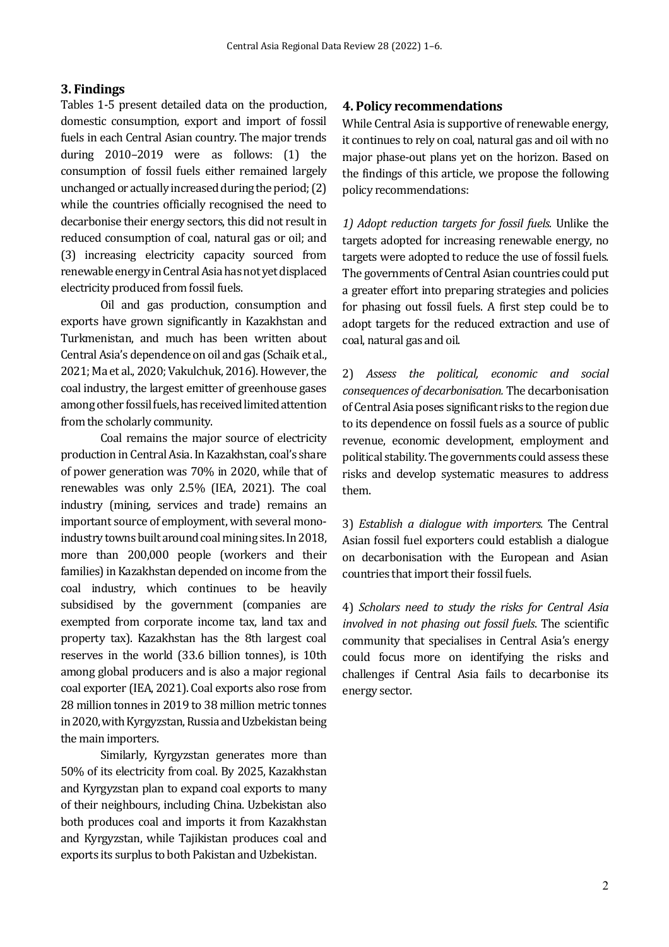# **3. Findings**

Tables 1-5 present detailed data on the production, domestic consumption, export and import of fossil fuels in each Central Asian country. The major trends during 2010–2019 were as follows: (1) the consumption of fossil fuels either remained largely unchanged or actually increased during the period;  $(2)$ while the countries officially recognised the need to decarbonise their energy sectors, this did not result in reduced consumption of coal, natural gas or oil; and (3) increasing electricity capacity sourced from renewable energy in Central Asia has not yet displaced electricity produced from fossil fuels.

Oil and gas production, consumption and exports have grown significantly in Kazakhstan and Turkmenistan, and much has been written about Central Asia's dependence on oil and gas (Schaik et al., 2021; Ma et al., 2020; Vakulchuk, 2016). However, the coal industry, the largest emitter of greenhouse gases among other fossil fuels, has received limited attention from the scholarly community.

Coal remains the major source of electricity production in Central Asia. In Kazakhstan, coal's share of power generation was 70% in 2020, while that of renewables was only 2.5% (IEA, 2021). The coal industry (mining, services and trade) remains an important source of employment, with several monoindustry towns built around coal mining sites. In 2018, more than 200,000 people (workers and their families) in Kazakhstan depended on income from the coal industry, which continues to be heavily subsidised by the government (companies are exempted from corporate income tax, land tax and property tax). Kazakhstan has the 8th largest coal reserves in the world (33.6 billion tonnes), is 10th among global producers and is also a major regional coal exporter (IEA, 2021). Coal exports also rose from 28 million tonnes in 2019 to 38 million metric tonnes in 2020, with Kyrgyzstan, Russia and Uzbekistan being the main importers.

Similarly, Kyrgyzstan generates more than 50% of its electricity from coal. By 2025, Kazakhstan and Kyrgyzstan plan to expand coal exports to many of their neighbours, including China. Uzbekistan also both produces coal and imports it from Kazakhstan and Kyrgyzstan, while Tajikistan produces coal and exports its surplus to both Pakistan and Uzbekistan.

## **4. Policy recommendations**

While Central Asia is supportive of renewable energy, it continues to rely on coal, natural gas and oil with no major phase-out plans yet on the horizon. Based on the findings of this article, we propose the following policy recommendations:

1) Adopt reduction targets for fossil fuels. Unlike the targets adopted for increasing renewable energy, no targets were adopted to reduce the use of fossil fuels. The governments of Central Asian countries could put a greater effort into preparing strategies and policies for phasing out fossil fuels. A first step could be to adopt targets for the reduced extraction and use of coal, natural gas and oil.

2) *Assess the political, economic and social consequences of decarbonisation.* The decarbonisation of Central Asia poses significant risks to the region due to its dependence on fossil fuels as a source of public revenue, economic development, employment and political stability. The governments could assess these risks and develop systematic measures to address them.

3) *Establish a dialogue with importers.* The Central Asian fossil fuel exporters could establish a dialogue on decarbonisation with the European and Asian countries that import their fossil fuels.

4) *Scholars need to study the risks for Central Asia involved in not phasing out fossil fuels*. The scientific community that specialises in Central Asia's energy could focus more on identifying the risks and challenges if Central Asia fails to decarbonise its energy sector.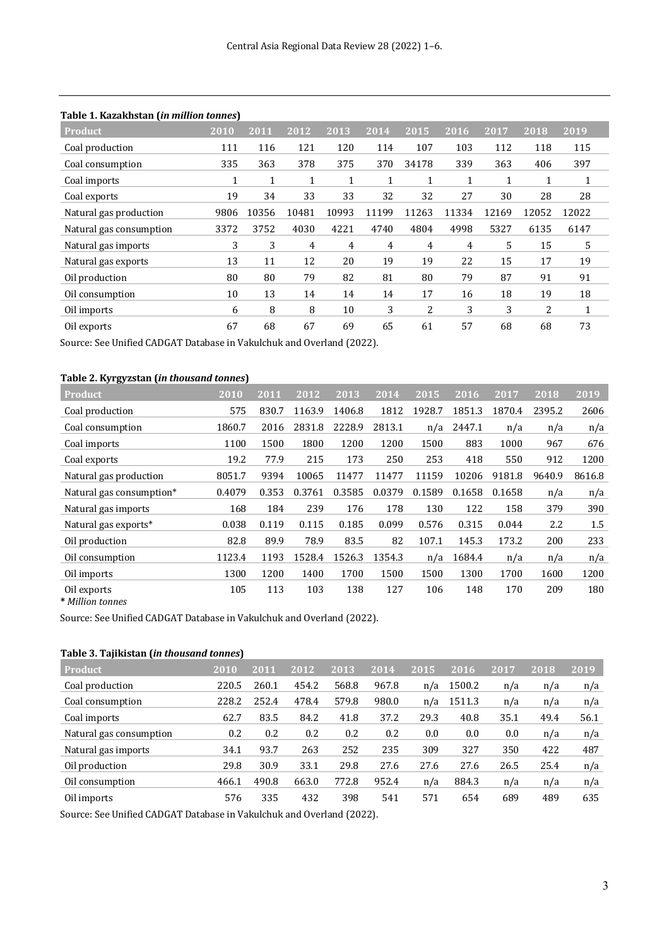| Product <sup>'</sup>    | 2010 | 2011  | 2012           | 2013           | 2014         | 2015  | 2016  | 2017  | 2018  | 2019         |
|-------------------------|------|-------|----------------|----------------|--------------|-------|-------|-------|-------|--------------|
| Coal production         | 111  | 116   | 121            | 120            | 114          | 107   | 103   | 112   | 118   | 115          |
| Coal consumption        | 335  | 363   | 378            | 375            | 370          | 34178 | 339   | 363   | 406   | 397          |
| Coal imports            | 1    | 1     | 1              | 1              | $\mathbf{I}$ | 1     | 1     | 1     | 1     | $\mathbf{1}$ |
| Coal exports            | 19   | 34    | 33             | 33             | 32           | 32    | 27    | 30    | 28    | 28           |
| Natural gas production  | 9806 | 10356 | 10481          | 10993          | 11199        | 11263 | 11334 | 12169 | 12052 | 12022        |
| Natural gas consumption | 3372 | 3752  | 4030           | 4221           | 4740         | 4804  | 4998  | 5327  | 6135  | 6147         |
| Natural gas imports     | 3    | 3     | $\overline{4}$ | $\overline{4}$ | 4            | 4     | 4     | 5     | 15    | 5            |
| Natural gas exports     | 13   | 11    | 12             | 20             | 19           | 19    | 22    | 15    | 17    | 19           |
| Oil production          | 80   | 80    | 79             | 82             | 81           | 80    | 79    | 87    | 91    | 91           |
| Oil consumption         | 10   | 13    | 14             | 14             | 14           | 17    | 16    | 18    | 19    | 18           |
| Oil imports             | 6    | 8     | 8              | 10             | 3            | 2     | 3     | 3     | 2     | $\mathbf{1}$ |
| Oil exports             | 67   | 68    | 67             | 69             | 65           | 61    | 57    | 68    | 68    | 73           |

## **Table 1. Kazakhstan (***in million tonnes***)**

Source: See Unified CADGAT Database in Vakulchuk and Overland (2022).

#### **Table 2. Kyrgyzstan (***in thousand tonnes***)**

| Product                  | 2010   | 2011  | 2012   | 2013   | 2014   | 2015   | 2016   | 2017   | 2018   | 2019   |
|--------------------------|--------|-------|--------|--------|--------|--------|--------|--------|--------|--------|
| Coal production          | 575    | 830.7 | 1163.9 | 1406.8 | 1812   | 1928.7 | 1851.3 | 1870.4 | 2395.2 | 2606   |
| Coal consumption         | 1860.7 | 2016  | 2831.8 | 2228.9 | 2813.1 | n/a    | 2447.1 | n/a    | n/a    | n/a    |
| Coal imports             | 1100   | 1500  | 1800   | 1200   | 1200   | 1500   | 883    | 1000   | 967    | 676    |
| Coal exports             | 19.2   | 77.9  | 215    | 173    | 250    | 253    | 418    | 550    | 912    | 1200   |
| Natural gas production   | 8051.7 | 9394  | 10065  | 11477  | 11477  | 11159  | 10206  | 9181.8 | 9640.9 | 8616.8 |
| Natural gas consumption* | 0.4079 | 0.353 | 0.3761 | 0.3585 | 0.0379 | 0.1589 | 0.1658 | 0.1658 | n/a    | n/a    |
| Natural gas imports      | 168    | 184   | 239    | 176    | 178    | 130    | 122    | 158    | 379    | 390    |
| Natural gas exports*     | 0.038  | 0.119 | 0.115  | 0.185  | 0.099  | 0.576  | 0.315  | 0.044  | 2.2    | 1.5    |
| Oil production           | 82.8   | 89.9  | 78.9   | 83.5   | 82     | 107.1  | 145.3  | 173.2  | 200    | 233    |
| Oil consumption          | 1123.4 | 1193  | 1528.4 | 1526.3 | 1354.3 | n/a    | 1684.4 | n/a    | n/a    | n/a    |
| Oil imports              | 1300   | 1200  | 1400   | 1700   | 1500   | 1500   | 1300   | 1700   | 1600   | 1200   |
| Oil exports              | 105    | 113   | 103    | 138    | 127    | 106    | 148    | 170    | 209    | 180    |

**\*** *Million tonnes*

Source: See Unified CADGAT Database in Vakulchuk and Overland (2022).

#### **Table 3. Tajikistan (***in thousand tonnes***)**

| <b>Product</b>          | 2010  | 2011  | 2012  | 2013  | 2014  | 2015 | 2016   | 2017 | 2018 | 2019 |
|-------------------------|-------|-------|-------|-------|-------|------|--------|------|------|------|
| Coal production         | 220.5 | 260.1 | 454.2 | 568.8 | 967.8 | n/a  | 1500.2 | n/a  | n/a  | n/a  |
| Coal consumption        | 228.2 | 252.4 | 478.4 | 579.8 | 980.0 | n/a  | 1511.3 | n/a  | n/a  | n/a  |
| Coal imports            | 62.7  | 83.5  | 84.2  | 41.8  | 37.2  | 29.3 | 40.8   | 35.1 | 49.4 | 56.1 |
| Natural gas consumption | 0.2   | 0.2   | 0.2   | 0.2   | 0.2   | 0.0  | 0.0    | 0.0  | n/a  | n/a  |
| Natural gas imports     | 34.1  | 93.7  | 263   | 252   | 235   | 309  | 327    | 350  | 422  | 487  |
| Oil production          | 29.8  | 30.9  | 33.1  | 29.8  | 27.6  | 27.6 | 27.6   | 26.5 | 25.4 | n/a  |
| Oil consumption         | 466.1 | 490.8 | 663.0 | 772.8 | 952.4 | n/a  | 884.3  | n/a  | n/a  | n/a  |
| Oil imports             | 576   | 335   | 432   | 398   | 541   | 571  | 654    | 689  | 489  | 635  |

Source: See Unified CADGAT Database in Vakulchuk and Overland (2022).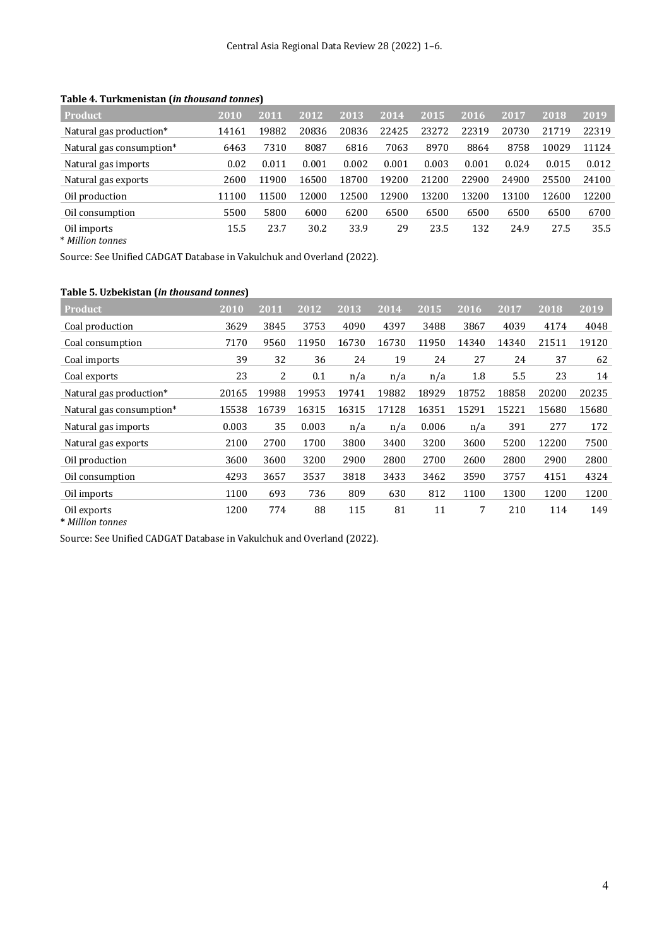| <b>Product</b>                       | 2010  | 2011  | 2012  | 2013  | 2014  | 2015  | 2016  | 2017  | 2018  | 2019  |
|--------------------------------------|-------|-------|-------|-------|-------|-------|-------|-------|-------|-------|
| Natural gas production*              | 14161 | 19882 | 20836 | 20836 | 22425 | 23272 | 22319 | 20730 | 21719 | 22319 |
| Natural gas consumption <sup>*</sup> | 6463  | 7310  | 8087  | 6816  | 7063  | 8970  | 8864  | 8758  | 10029 | 11124 |
| Natural gas imports                  | 0.02  | 0.011 | 0.001 | 0.002 | 0.001 | 0.003 | 0.001 | 0.024 | 0.015 | 0.012 |
| Natural gas exports                  | 2600  | 11900 | 16500 | 18700 | 19200 | 21200 | 22900 | 24900 | 25500 | 24100 |
| Oil production                       | 11100 | 11500 | 12000 | 12500 | 12900 | 13200 | 13200 | 13100 | 12600 | 12200 |
| Oil consumption                      | 5500  | 5800  | 6000  | 6200  | 6500  | 6500  | 6500  | 6500  | 6500  | 6700  |
| Oil imports<br>* Million tonnes      | 15.5  | 23.7  | 30.2  | 33.9  | 29    | 23.5  | 132   | 24.9  | 27.5  | 35.5  |

Table 4. Turkmenistan (*in thousand tonnes*)

Source: See Unified CADGAT Database in Vakulchuk and Overland (2022).

| <b>Product</b>           | 2010  | 2011  | 2012  | 2013  | $\overline{20}14$ | 2015  | 2016  | 2017  | 2018  | 2019  |
|--------------------------|-------|-------|-------|-------|-------------------|-------|-------|-------|-------|-------|
| Coal production          | 3629  | 3845  | 3753  | 4090  | 4397              | 3488  | 3867  | 4039  | 4174  | 4048  |
| Coal consumption         | 7170  | 9560  | 11950 | 16730 | 16730             | 11950 | 14340 | 14340 | 21511 | 19120 |
| Coal imports             | 39    | 32    | 36    | 24    | 19                | 24    | 27    | 24    | 37    | 62    |
| Coal exports             | 23    | 2     | 0.1   | n/a   | n/a               | n/a   | 1.8   | 5.5   | 23    | 14    |
| Natural gas production*  | 20165 | 19988 | 19953 | 19741 | 19882             | 18929 | 18752 | 18858 | 20200 | 20235 |
| Natural gas consumption* | 15538 | 16739 | 16315 | 16315 | 17128             | 16351 | 15291 | 15221 | 15680 | 15680 |
| Natural gas imports      | 0.003 | 35    | 0.003 | n/a   | n/a               | 0.006 | n/a   | 391   | 277   | 172   |
| Natural gas exports      | 2100  | 2700  | 1700  | 3800  | 3400              | 3200  | 3600  | 5200  | 12200 | 7500  |
| Oil production           | 3600  | 3600  | 3200  | 2900  | 2800              | 2700  | 2600  | 2800  | 2900  | 2800  |
| Oil consumption          | 4293  | 3657  | 3537  | 3818  | 3433              | 3462  | 3590  | 3757  | 4151  | 4324  |
| Oil imports              | 1100  | 693   | 736   | 809   | 630               | 812   | 1100  | 1300  | 1200  | 1200  |
| Oil exports              | 1200  | 774   | 88    | 115   | 81                | 11    | 7     | 210   | 114   | 149   |

**\*** *Million tonnes*

Source: See Unified CADGAT Database in Vakulchuk and Overland (2022).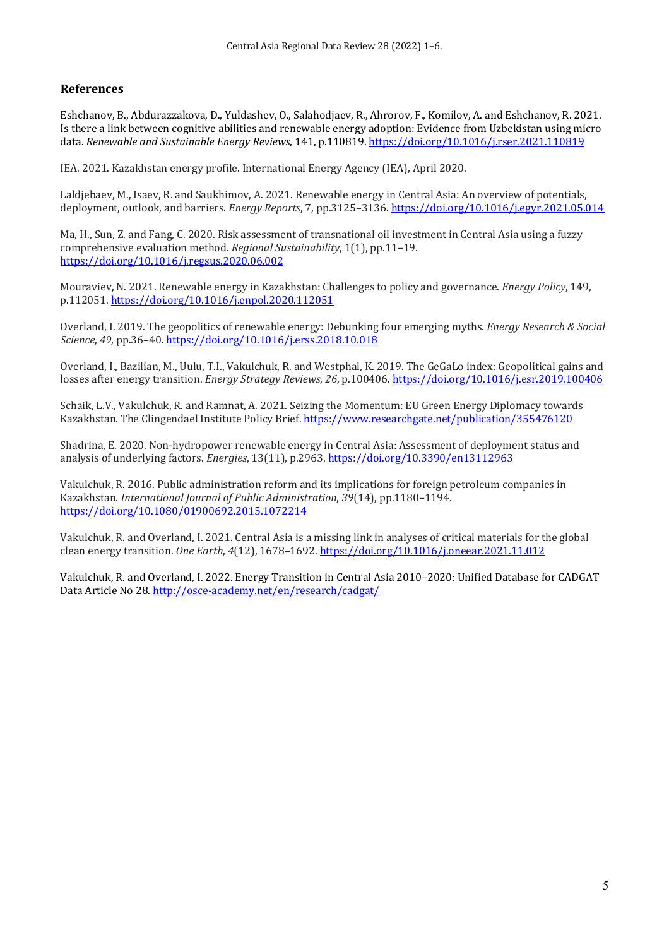# **References**

Eshchanov, B., Abdurazzakova, D., Yuldashev, O., Salahodjaev, R., Ahrorov, F., Komilov, A. and Eshchanov, R. 2021. Is there a link between cognitive abilities and renewable energy adoption: Evidence from Uzbekistan using micro data. *Renewable and Sustainable Energy Reviews*, 141, p.110819. https://doi.org/10.1016/j.rser.2021.110819

IEA. 2021. Kazakhstan energy profile. International Energy Agency (IEA), April 2020.

Laldjebaev, M., Isaev, R. and Saukhimov, A. 2021. Renewable energy in Central Asia: An overview of potentials, deployment, outlook, and barriers. *Energy Reports*, 7, pp.3125–3136. https://doi.org/10.1016/j.egyr.2021.05.014

Ma, H., Sun, Z. and Fang, C. 2020. Risk assessment of transnational oil investment in Central Asia using a fuzzy comprehensive evaluation method. *Regional Sustainability*, 1(1), pp.11–19. https://doi.org/10.1016/j.regsus.2020.06.002

Mouraviev, N. 2021. Renewable energy in Kazakhstan: Challenges to policy and governance. *Energy Policy*, 149, p.112051. https://doi.org/10.1016/j.enpol.2020.112051

Overland, I. 2019. The geopolitics of renewable energy: Debunking four emerging myths. *Energy Research & Social Science*, *49*, pp.36–40. https://doi.org/10.1016/j.erss.2018.10.018

Overland, I., Bazilian, M., Uulu, T.I., Vakulchuk, R. and Westphal, K. 2019. The GeGaLo index: Geopolitical gains and losses after energy transition. *Energy Strategy Reviews*, 26, p.100406. https://doi.org/10.1016/j.esr.2019.100406

Schaik, L.V., Vakulchuk, R. and Ramnat, A. 2021. Seizing the Momentum: EU Green Energy Diplomacy towards Kazakhstan. The Clingendael Institute Policy Brief. https://www.researchgate.net/publication/355476120

Shadrina, E. 2020. Non-hydropower renewable energy in Central Asia: Assessment of deployment status and analysis of underlying factors. *Energies*, 13(11), p.2963. https://doi.org/10.3390/en13112963

Vakulchuk, R. 2016. Public administration reform and its implications for foreign petroleum companies in Kazakhstan. *International Journal of Public Administration*, 39(14), pp.1180-1194. https://doi.org/10.1080/01900692.2015.1072214

Vakulchuk, R. and Overland, I. 2021. Central Asia is a missing link in analyses of critical materials for the global clean energy transition. *One Earth*, *4*(12), 1678–1692. https://doi.org/10.1016/j.oneear.2021.11.012

Vakulchuk, R. and Overland, I. 2022. Energy Transition in Central Asia 2010–2020: Unified Database for CADGAT Data Article No 28. http://osce-academy.net/en/research/cadgat/